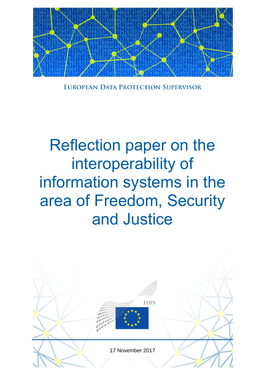

EUROPEAN DATA PROTECTION SUPERVISOR

# Reflection paper on the interoperability of information systems in the area of Freedom, Security and Justice

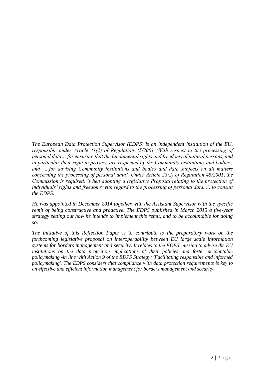*The European Data Protection Supervisor (EDPS) is an independent institution of the EU, responsible under Article 41(2) of Regulation 45/2001 'With respect to the processing of personal data… for ensuring that the fundamental rights and freedoms of natural persons, and in particular their right to privacy, are respected by the Community institutions and bodies', and '…for advising Community institutions and bodies and data subjects on all matters concerning the processing of personal data'. Under Article 28(2) of Regulation 45/2001, the Commission is required, 'when adopting a legislative Proposal relating to the protection of individuals' rights and freedoms with regard to the processing of personal data...', to consult the EDPS.*

*He was appointed in December 2014 together with the Assistant Supervisor with the specific remit of being constructive and proactive. The EDPS published in March 2015 a five-year strategy setting out how he intends to implement this remit, and to be accountable for doing so.*

*The initiative of this Reflection Paper is to contribute to the preparatory work on the forthcoming legislative proposal on interoperability between EU large scale information systems for borders management and security*. *It relates to the EDPS' mission to advise the EU institutions on the data protection implications of their policies and foster accountable policymaking -in line with Action 9 of the EDPS Strategy: 'Facilitating responsible and informed policymaking'. The EDPS considers that compliance with data protection requirements is key to an effective and efficient information management for borders management and security.*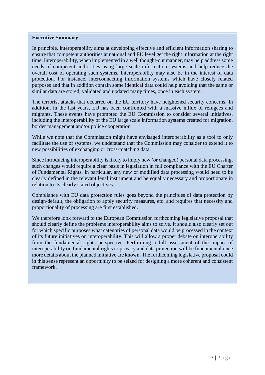#### **Executive Summary**

In principle, interoperability aims at developing effective and efficient information sharing to ensure that competent authorities at national and EU level get the right information at the right time. Interoperability, when implemented in a well thought-out manner, may help address some needs of competent authorities using large scale information systems and help reduce the overall cost of operating such systems. Interoperability may also be in the interest of data protection. For instance, interconnecting information systems which have closely related purposes and that in addition contain some identical data could help avoiding that the same or similar data are stored, validated and updated many times, once in each system.

The terrorist attacks that occurred on the EU territory have heightened security concerns. In addition, in the last years, EU has been confronted with a massive influx of refugees and migrants. These events have prompted the EU Commission to consider several initiatives, including the interoperability of the EU large scale information systems created for migration, border management and/or police cooperation.

While we note that the Commission might have envisaged interoperability as a tool to only facilitate the use of systems, we understand that the Commission may consider to extend it to new possibilities of exchanging or cross-matching data.

Since introducing interoperability is likely to imply new (or changed) personal data processing, such changes would require a clear basis in legislation in full compliance with the EU Charter of Fundamental Rights. In particular, any new or modified data processing would need to be clearly defined in the relevant legal instrument and be equally necessary and proportionate in relation to its clearly stated objectives.

Compliance with EU data protection rules goes beyond the principles of data protection by design/default, the obligation to apply security measures, etc. and requires that necessity and proportionality of processing are first established.

We therefore look forward to the European Commission forthcoming legislative proposal that should clearly define the problems interoperability aims to solve. It should also clearly set out for which specific purposes what categories of personal data would be processed in the context of its future initiatives on interoperability. This will allow a proper debate on interoperability from the fundamental rights perspective. Performing a full assessment of the impact of interoperability on fundamental rights to privacy and data protection will be fundamental once more details about the planned initiative are known. The forthcoming legislative proposal could in this sense represent an opportunity to be seized for designing a more coherent and consistent framework.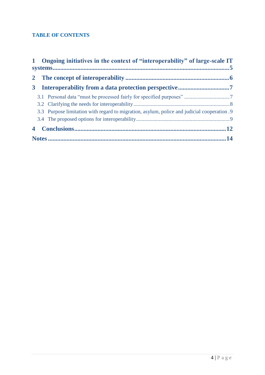## **TABLE OF CONTENTS**

|                         | 1 Ongoing initiatives in the context of "interoperability" of large-scale IT |                                                                                             |  |
|-------------------------|------------------------------------------------------------------------------|---------------------------------------------------------------------------------------------|--|
|                         |                                                                              |                                                                                             |  |
| 3 <sup>1</sup>          |                                                                              |                                                                                             |  |
|                         |                                                                              |                                                                                             |  |
|                         |                                                                              |                                                                                             |  |
|                         |                                                                              | 3.3 Purpose limitation with regard to migration, asylum, police and judicial cooperation .9 |  |
|                         |                                                                              |                                                                                             |  |
| $\overline{\mathbf{4}}$ |                                                                              |                                                                                             |  |
|                         |                                                                              |                                                                                             |  |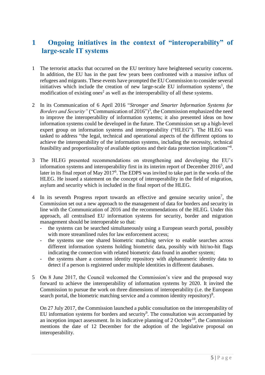# <span id="page-4-0"></span>**1 Ongoing initiatives in the context of "interoperability" of large-scale IT systems**

- 1 The terrorist attacks that occurred on the EU territory have heightened security concerns. In addition, the EU has in the past few years been confronted with a massive influx of refugees and migrants. These events have prompted the EU Commission to consider several initiatives which include the creation of new large-scale EU information systems<sup>1</sup>, the modification of existing ones<sup>2</sup> as well as the interoperability of all these systems.
- 2 In its Communication of 6 April 2016 "*Stronger and Smarter Information Systems for Borders and Security*" ("Communication of 2016")<sup>3</sup>, the Commission emphasized the need to improve the interoperability of information systems; it also presented ideas on how information systems could be developed in the future. The Commission set up a high-level expert group on information systems and interoperability ("HLEG"). The HLEG was tasked to address "the legal, technical and operational aspects of the different options to achieve the interoperability of the information systems, including the necessity, technical feasibility and proportionality of available options and their data protection implications"<sup>4</sup>.
- 3 The HLEG presented recommendations on strengthening and developing the EU's information systems and interoperability first in its interim report of December  $2016<sup>5</sup>$ , and later in its final report of May 2017<sup>6</sup>. The EDPS was invited to take part in the works of the HLEG. He issued a statement on the concept of interoperability in the field of migration, asylum and security which is included in the final report of the HLEG.
- 4 In its seventh Progress report towards an effective and genuine security union<sup>7</sup>, the Commission set out a new approach to the management of data for borders and security in line with the Communication of 2016 and the recommendations of the HLEG. Under this approach, all centralised EU information systems for security, border and migration management should be interoperable so that:
	- the systems can be searched simultaneously using a European search portal, possibly with more streamlined rules for law enforcement access;
	- the systems use one shared biometric matching service to enable searches across different information systems holding biometric data, possibly with hit/no-hit flags indicating the connection with related biometric data found in another system;
	- the systems share a common identity repository with alphanumeric identity data to detect if a person is registered under multiple identities in different databases.
- 5 On 8 June 2017, the Council welcomed the Commission's view and the proposed way forward to achieve the interoperability of information systems by 2020. It invited the Commission to pursue the work on three dimensions of interoperability (i.e. the European search portal, the biometric matching service and a common identity repository)<sup>8</sup>.

On 27 July 2017, the Commission launched a public consultation on the interoperability of EU information systems for borders and security<sup>9</sup>. The consultation was accompanied by an inception impact assessment. In its indicative planning of 2 October<sup>10</sup>, the Commission mentions the date of 12 December for the adoption of the legislative proposal on interoperability.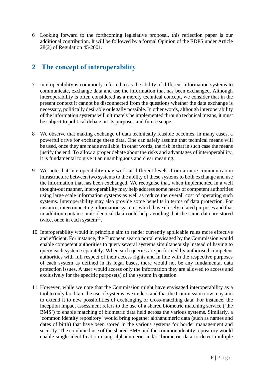6 Looking forward to the forthcoming legislative proposal, this reflection paper is our additional contribution. It will be followed by a formal Opinion of the EDPS under Article 28(2) of Regulation 45/2001.

# <span id="page-5-0"></span>**2 The concept of interoperability**

- 7 Interoperability is commonly referred to as the ability of different information systems to communicate, exchange data and use the information that has been exchanged. Although interoperability is often considered as a merely technical concept, we consider that in the present context it cannot be disconnected from the questions whether the data exchange is necessary, politically desirable or legally possible. In other words, although interoperability of the information systems will ultimately be implemented through technical means, it must be subject to political debate on its purposes and future scope.
- 8 We observe that making exchange of data technically feasible becomes, in many cases, a powerful drive for exchange these data. One can safely assume that technical means will be used, once they are made available; in other words, the risk is that in such case the means justify the end. To allow a proper debate about the risks and advantages of interoperability, it is fundamental to give it an unambiguous and clear meaning.
- 9 We note that interoperability may work at different levels, from a mere communication infrastructure between two systems to the ability of these systems to both exchange and use the information that has been exchanged. We recognise that, when implemented in a well thought-out manner, interoperability may help address some needs of competent authorities using large scale information systems as well as reduce the overall cost of operating such systems. Interoperability may also provide some benefits in terms of data protection. For instance, interconnecting information systems which have closely related purposes and that in addition contain some identical data could help avoiding that the same data are stored twice, once in each system $11$ .
- 10 Interoperability would in principle aim to render currently applicable rules more effective and efficient. For instance, the European search portal envisaged by the Commission would enable competent authorities to query several systems simultaneously instead of having to query each system separately. When such queries are performed by authorised competent authorities with full respect of their access rights and in line with the respective purposes of each system as defined in its legal bases, there would not be any fundamental data protection issues. A user would access only the information they are allowed to access and exclusively for the specific purpose(s) of the system in question.
- 11 However, while we note that the Commission might have envisaged interoperability as a tool to only facilitate the use of systems, we understand that the Commission now may aim to extend it to new possibilities of exchanging or cross-matching data. For instance, the inception impact assessment refers to the use of a shared biometric matching service ('the BMS') to enable matching of biometric data held across the various systems. Similarly, a 'common identity repository' would bring together alphanumeric data (such as names and dates of birth) that have been stored in the various systems for border management and security. The combined use of the shared BMS and the common identity repository would enable single identification using alphanumeric and/or biometric data to detect multiple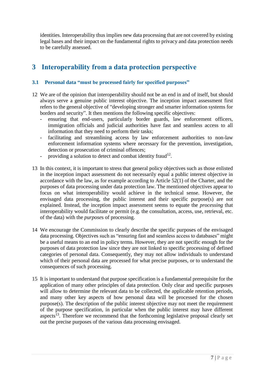identities. Interoperability thus implies new data processing that are not covered by existing legal bases and their impact on the fundamental rights to privacy and data protection needs to be carefully assessed.

# <span id="page-6-0"></span>**3 Interoperability from a data protection perspective**

#### <span id="page-6-1"></span>**3.1 Personal data "must be processed fairly for specified purposes"**

- 12 We are of the opinion that interoperability should not be an end in and of itself, but should always serve a genuine public interest objective. The inception impact assessment first refers to the general objective of "developing stronger and smarter information systems for borders and security". It then mentions the following specific objectives:
	- ensuring that end-users, particularly border guards, law enforcement officers, immigration officials and judicial authorities have fast and seamless access to all information that they need to perform their tasks;
	- facilitating and streamlining access by law enforcement authorities to non-law enforcement information systems where necessary for the prevention, investigation, detection or prosecution of criminal offences;
	- providing a solution to detect and combat identity fraud<sup>12</sup>.
- 13 In this context, it is important to stress that general policy objectives such as those enlisted in the inception impact assessment do not necessarily equal a public interest objective in accordance with the law, as for example according to Article 52(1) of the Charter, and the purposes of data processing under data protection law. The mentioned objectives appear to focus on what interoperability would achieve in the technical sense. However, the envisaged data processing, the public interest and their specific purpose(s) are not explained. Instead, the inception impact assessment seems to equate the *processing* that interoperability would facilitate or permit (e.g. the consultation, access, use, retrieval, etc. of the data) with the *purpose*s of processing.
- 14 We encourage the Commission to clearly describe the specific purposes of the envisaged data processing. Objectives such as "ensuring fast and seamless access to databases" might be a useful means to an end in policy terms. However, they are not specific enough for the purposes of data protection law since they are not linked to specific processing of defined categories of personal data. Consequently, they may not allow individuals to understand which of their personal data are processed for what precise purposes, or to understand the consequences of such processing.
- 15 It is important to understand that purpose specification is a fundamental prerequisite for the application of many other principles of data protection. Only clear and specific purposes will allow to determine the relevant data to be collected, the applicable retention periods, and many other key aspects of how personal data will be processed for the chosen purpose(s). The description of the public interest objective may not meet the requirement of the purpose specification, in particular when the public interest may have different aspects<sup>13</sup>. Therefore we recommend that the forthcoming legislative proposal clearly set out the precise purposes of the various data processing envisaged.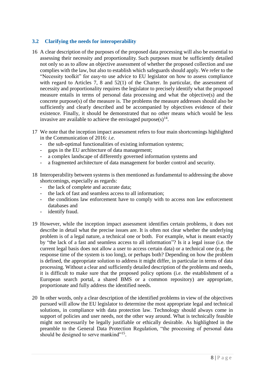#### <span id="page-7-0"></span>**3.2 Clarifying the needs for interoperability**

- 16 A clear description of the purposes of the proposed data processing will also be essential to assessing their necessity and proportionality. Such purposes must be sufficiently detailed not only so as to allow an objective assessment of whether the proposed collection and use complies with the law, but also to establish which safeguards should apply. We refer to the "Necessity toolkit" for easy-to use advice to EU legislator on how to assess compliance with regard to Articles 7, 8 and 52(1) of the Charter. In particular, the assessment of necessity and proportionality requires the legislator to precisely identify what the proposed measure entails in terms of personal data processing and what the objective(s) and the concrete purpose(s) of the measure is. The problems the measure addresses should also be sufficiently and clearly described and be accompanied by objectives evidence of their existence. Finally, it should be demonstrated that no other means which would be less invasive are available to achieve the envisaged purpose $(s)^{14}$ .
- 17 We note that the inception impact assessment refers to four main shortcomings highlighted in the Communication of 2016: *i.e*.
	- the sub-optimal functionalities of existing information systems;
	- gaps in the EU architecture of data management;
	- a complex landscape of differently governed information systems and
	- a fragmented architecture of data management for border control and security.
- 18 Interoperability between systems is then mentioned as fundamental to addressing the above shortcomings, especially as regards:
	- the lack of complete and accurate data;
	- the lack of fast and seamless access to all information;
	- the conditions law enforcement have to comply with to access non law enforcement databases and
	- identify fraud.
- 19 However, while the inception impact assessment identifies certain problems, it does not describe in detail what the precise issues are. It is often not clear whether the underlying problem is of a legal nature, a technical one or both. For example, what is meant exactly by "the lack of a fast and seamless access to all information"? Is it a legal issue (i.e. the current legal basis does not allow a user to access certain data) or a technical one (e.g. the response time of the system is too long), or perhaps both? Depending on how the problem is defined, the appropriate solution to address it might differ, in particular in terms of data processing. Without a clear and sufficiently detailed description of the problems and needs, it is difficult to make sure that the proposed policy options (i.e. the establishment of a European search portal, a shared BMS or a common repository) are appropriate, proportionate and fully address the identified needs.
- 20 In other words, only a clear description of the identified problems in view of the objectives pursued will allow the EU legislator to determine the most appropriate legal and technical solutions, in compliance with data protection law. Technology should always come in support of policies and user needs, not the other way around. What is technically feasible might not necessarily be legally justifiable or ethically desirable. As highlighted in the preamble to the General Data Protection Regulation, "the processing of personal data should be designed to serve mankind"<sup>15</sup>.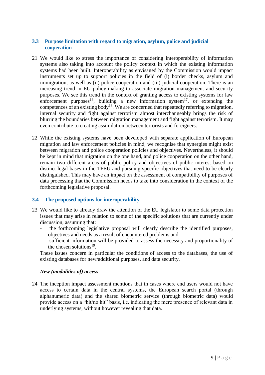#### <span id="page-8-0"></span>**3.3 Purpose limitation with regard to migration, asylum, police and judicial cooperation**

- 21 We would like to stress the importance of considering interoperability of information systems also taking into account the policy context in which the existing information systems had been built. Interoperability as envisaged by the Commission would impact instruments set up to support policies in the field of (i) border checks, asylum and immigration, as well as (ii) police cooperation and (iii) judicial cooperation. There is an increasing trend in EU policy-making to associate migration management and security purposes. We see this trend in the context of granting access to existing systems for law enforcement purposes<sup>16</sup>, building a new information system<sup>17</sup>, or extending the competences of an existing body<sup>18</sup>. We are concerned that repeatedly referring to migration, internal security and fight against terrorism almost interchangeably brings the risk of blurring the boundaries between migration management and fight against terrorism. It may even contribute to creating assimilation between terrorists and foreigners.
- 22 While the existing systems have been developed with separate application of European migration and law enforcement policies in mind, we recognise that synergies might exist between migration and police cooperation policies and objectives. Nevertheless, it should be kept in mind that migration on the one hand, and police cooperation on the other hand, remain two different areas of public policy and objectives of public interest based on distinct legal bases in the TFEU and pursuing specific objectives that need to be clearly distinguished. This may have an impact on the assessment of compatibility of purposes of data processing that the Commission needs to take into consideration in the context of the forthcoming legislative proposal.

#### <span id="page-8-1"></span>**3.4 The proposed options for interoperability**

- 23 We would like to already draw the attention of the EU legislator to some data protection issues that may arise in relation to some of the specific solutions that are currently under discussion, assuming that:
	- the forthcoming legislative proposal will clearly describe the identified purposes, objectives and needs as a result of encountered problems and,
	- sufficient information will be provided to assess the necessity and proportionality of the chosen solutions $19$ .

These issues concern in particular the conditions of access to the databases, the use of existing databases for new/additional purposes, and data security.

#### *New (modalities of) access*

24 The inception impact assessment mentions that in cases where end users would not have access to certain data in the central systems, the European search portal (through alphanumeric data) and the shared biometric service (through biometric data) would provide access on a "hit/no hit" basis, i.e. indicating the mere presence of relevant data in underlying systems, without however revealing that data.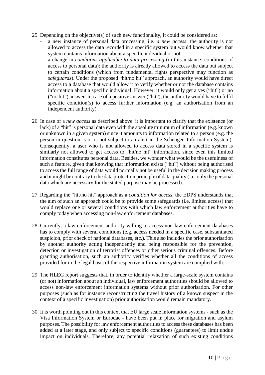- 25 Depending on the objective(s) of such new functionality, it could be considered as:
	- a new instance of personal data processing, i.e. *a new access*: the authority is not allowed to access the data recorded in a specific system but would know whether that system contains information about a specific individual or not;
	- a change in *conditions applicable to data processing* (in this instance: conditions of access to personal data): the authority is already allowed to access the data but subject to certain conditions (which from fundamental rights perspective may function as *safeguards*). Under the proposed "hit/no hit" approach, an authority would have direct access to a database that would allow it to verify whether or not the database contains information about a specific individual. However, it would only get a yes ("hit") or no ("no hit") answer. In case of a positive answer ("hit"), the authority would have to fulfil specific condition(s) to access further information (e.g. an authorisation from an independent authority).
- 26 In case of a *new access* as described above, it is important to clarify that the existence (or lack) of a "hit" is personal data even with the absolute minimum of information (e.g. known or unknown in a given system) since it amounts to information related to a person (e.g. the person in question is or is not subject to an alert in the Schengen Information System). Consequently, a user who is not allowed to access data stored in a specific system is similarly not allowed to get access to "hit/no hit" information, since even this limited information constitutes personal data. Besides, we wonder what would be the usefulness of such a feature, given that knowing that information exists ("hit") without being authorised to access the full range of data would normally not be useful in the decision making process and it might be contrary to the data protection principle of data quality (i.e. only the personal data which are necessary for the stated purpose may be processed).
- 27 Regarding the "hit/no hit" approach as a *condition for access*, the EDPS understands that the aim of such an approach could be to provide some safeguards (i.e. limited access) that would replace one or several conditions with which law enforcement authorities have to comply today when accessing non-law enforcement databases.
- 28 Currently, a law enforcement authority willing to access non-law enforcement databases has to comply with several conditions (e.g. access needed in a specific case, substantiated suspicion, prior check of national databases, etc.). This also includes the prior authorisation by another authority acting independently and being responsible for the prevention, detection or investigation of terrorist offences or other serious criminal offences. Before granting authorisation, such an authority verifies whether all the conditions of access provided for in the legal basis of the respective information system are complied with.
- 29 The HLEG report suggests that, in order to identify whether a large-scale system contains (or not) information about an individual, law enforcement authorities should be allowed to access non-law enforcement information systems without prior authorisation. For other purposes (such as for instance reconstructing the travel history of a known suspect in the context of a specific investigation) prior authorisation would remain mandatory.
- 30 It is worth pointing out in this context that EU large scale information systems such as the Visa Information System or Eurodac - have been put in place for migration and asylum purposes. The possibility for law enforcement authorities to access these databases has been added at a later stage, and only subject to specific conditions (guarantees) to limit undue impact on individuals. Therefore, any potential relaxation of such existing conditions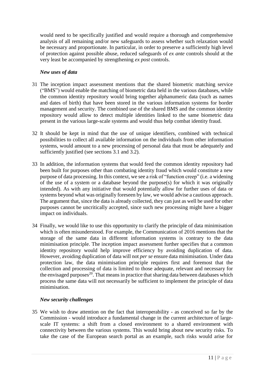would need to be specifically justified and would require a thorough and comprehensive analysis of all remaining and/or new safeguards to assess whether such relaxation would be necessary and proportionate. In particular, in order to preserve a sufficiently high level of protection against possible abuse, reduced safeguards of *ex ante* controls should at the very least be accompanied by strengthening *ex post* controls.

#### *New uses of data*

- 31 The inception impact assessment mentions that the shared biometric matching service ("BMS") would enable the matching of biometric data held in the various databases, while the common identity repository would bring together alphanumeric data (such as names and dates of birth) that have been stored in the various information systems for border management and security. The combined use of the shared BMS and the common identity repository would allow to detect multiple identities linked to the same biometric data present in the various large-scale systems and would thus help combat identity fraud.
- 32 It should be kept in mind that the use of unique identifiers, combined with technical possibilities to collect all available information on the individuals from other information systems, would amount to a new processing of personal data that must be adequately and sufficiently justified (see sections 3.1 and 3.2).
- 33 In addition, the information systems that would feed the common identity repository had been built for purposes other than combating identity fraud which would constitute a new purpose of data processing. In this context, we see a risk of "function creep" (i.e. a widening of the use of a system or a database beyond the purpose(s) for which it was originally intended). As with any initiative that would potentially allow for further uses of data or systems beyond what was originally foreseen by law, we would advise a cautious approach. The argument that, since the data is already collected, they can just as well be used for other purposes cannot be uncritically accepted, since such new processing might have a bigger impact on individuals.
- 34 Finally, we would like to use this opportunity to clarify the principle of data minimisation which is often misunderstood. For example, the Communication of 2016 mentions that the storage of the same data in different information systems is contrary to the data minimisation principle. The inception impact assessment further specifies that a common identity repository would help improve efficiency by avoiding duplication of data. However, avoiding duplication of data will not *per se* ensure data minimisation. Under data protection law, the data minimisation principle requires first and foremost that the collection and processing of data is limited to those adequate, relevant and necessary for the envisaged purposes<sup>20</sup>. That means in practice that sharing data between databases which process the same data will not necessarily be sufficient to implement the principle of data minimisation.

#### *New security challenges*

35 We wish to draw attention on the fact that interoperability - as conceived so far by the Commission - would introduce a fundamental change in the current architecture of largescale IT systems: a shift from a closed environment to a shared environment with connectivity between the various systems. This would bring about new security risks. To take the case of the European search portal as an example, such risks would arise for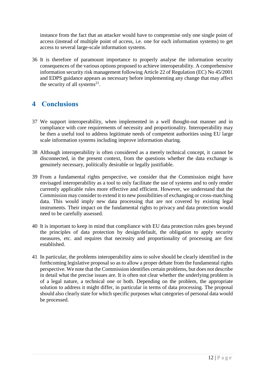instance from the fact that an attacker would have to compromise only one single point of access (instead of multiple point of access, i.e. one for each information systems) to get access to several large-scale information systems.

36 It is therefore of paramount importance to properly analyse the information security consequences of the various options proposed to achieve interoperability. A comprehensive information security risk management following Article 22 of Regulation (EC) No 45/2001 and EDPS guidance appears as necessary before implementing any change that may affect the security of all systems<sup>21</sup>.

# <span id="page-11-0"></span>**4 Conclusions**

- 37 We support interoperability, when implemented in a well thought-out manner and in compliance with core requirements of necessity and proportionality. Interoperability may be then a useful tool to address legitimate needs of competent authorities using EU large scale information systems including improve information sharing.
- 38 Although interoperability is often considered as a merely technical concept, it cannot be disconnected, in the present context, from the questions whether the data exchange is genuinely necessary, politically desirable or legally justifiable.
- 39 From a fundamental rights perspective, we consider that the Commission might have envisaged interoperability as a tool to only facilitate the use of systems and to only render currently applicable rules more effective and efficient. However, we understand that the Commission may consider to extend it to new possibilities of exchanging or cross-matching data. This would imply new data processing that are not covered by existing legal instruments. Their impact on the fundamental rights to privacy and data protection would need to be carefully assessed.
- 40 It is important to keep in mind that compliance with EU data protection rules goes beyond the principles of data protection by design/default, the obligation to apply security measures, etc. and requires that necessity and proportionality of processing are first established.
- 41 In particular, the problems interoperability aims to solve should be clearly identified in the forthcoming legislative proposal so as to allow a proper debate from the fundamental rights perspective. We note that the Commission identifies certain problems, but does not describe in detail what the precise issues are. It is often not clear whether the underlying problem is of a legal nature, a technical one or both. Depending on the problem, the appropriate solution to address it might differ, in particular in terms of data processing. The proposal should also clearly state for which specific purposes what categories of personal data would be processed.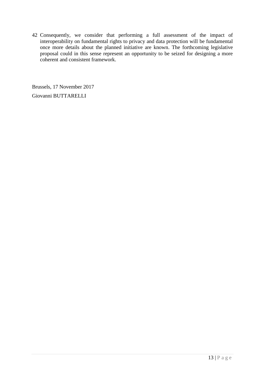42 Consequently, we consider that performing a full assessment of the impact of interoperability on fundamental rights to privacy and data protection will be fundamental once more details about the planned initiative are known. The forthcoming legislative proposal could in this sense represent an opportunity to be seized for designing a more coherent and consistent framework.

Brussels, 17 November 2017 Giovanni BUTTARELLI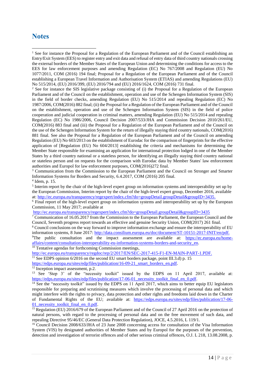## <span id="page-13-0"></span>**Notes**

<u>.</u>

<sup>2</sup> See for instance the SIS legislative package consisting of (i) the Proposal for a Regulation of the European Parliament and of the Council on the establishment, operation and use of the Schengen Information System (SIS) in the field of border checks, amending Regulation (EU) No 515/2014 and repealing Regulation (EC) No 1987/2006, COM(2016) 882 final; (ii) the Proposal for a Regulation of the European Parliament and of the Council on the establishment, operation and use of the Schengen Information System (SIS) in the field of police cooperation and judicial cooperation in criminal matters, amending Regulation (EU) No 515/2014 and repealing Regulation (EC) No 1986/2006, Council Decision 2007/533/JHA and Commission Decision 2010/261/EU, COM(2016) 883 final and (iii) the Proposal for a Regulation of the European Parliament and of the Council on the use of the Schengen Information System for the return of illegally staying third country nationals, COM(2016) 881 final. See also the Proposal for a Regulation of the European Parliament and of the Council on amending Regulation (EU) No 603/2013 on the establishment of Eurodac for the comparison of fingerprints for the effective application of [Regulation (EU) No 604/2013] establishing the criteria and mechanisms for determining the Member State responsible for examining an application for international protection lodged in one of the Member States by a third country national or a stateless person, for identifying an illegally staying third country national or stateless person and on requests for the comparison with Eurodac data by Member States' law enforcement authorities and Europol for law enforcement purposes, COM(2016)272 final.

<sup>3</sup> Communication from the Commission to the European Parliament and the Council on Stronger and Smarter Information Systems for Borders and Security, 6.4.2017, COM (2016) 205 final. 4 Idem, p. 15.

<sup>5</sup> Interim report by the chair of the high-level expert group on information systems and interoperability set up by the European Commission, Interim report by the chair of the high-level expert group, December 2016, available at: [http://ec.europa.eu/transparency/regexpert/index.cfm?do=groupDetail.groupDetail&groupID=3435.](http://ec.europa.eu/transparency/regexpert/index.cfm?do=groupDetail.groupDetail&groupID=3435)

<sup>6</sup> Final report of the high-level expert group on information systems and interoperability set up by the European Commission, 11 May 2017; available at

<http://ec.europa.eu/transparency/regexpert/index.cfm?do=groupDetail.groupDetail&groupID=3435>

<sup>7</sup> Communication of 16.05.2017 from the Commission to the European Parliament, the European Council and the Council, Seventh progress report towards an effective and genuine Security Union, COM(2017) 261 final.

<sup>8</sup> Council conclusions on the way forward to improve information exchange and ensure the interoperability of EU information systems, 8 June 2017: [http://data.consilium.europa.eu/doc/document/ST-10151-2017-INIT/en/pdf.](http://data.consilium.europa.eu/doc/document/ST-10151-2017-INIT/en/pdf)

<sup>9</sup>The public consultation and the impact assessment are available at: [https://ec.europa.eu/home](https://ec.europa.eu/home-affairs/content/consultation-interoperability-eu-information-systems-borders-and-security_en)[affairs/content/consultation-interoperability-eu-information-systems-borders-and-security\\_en.](https://ec.europa.eu/home-affairs/content/consultation-interoperability-eu-information-systems-borders-and-security_en) <sup>10</sup> Tentative agendas for forthcoming Commission meetings,

[http://ec.europa.eu/transparency/regdoc/rep/2/2017/EN/SEC-2017-415-F1-EN-MAIN-PART-1.PDF.](http://ec.europa.eu/transparency/regdoc/rep/2/2017/EN/SEC-2017-415-F1-EN-MAIN-PART-1.PDF) <sup>11</sup> See EDPS opinion 6/2016 on the second EU smart borders package, point III.3.d) p. 15 [https://edps.europa.eu/sites/edp/files/publication/16-09-21\\_smart\\_borders\\_en.pdf.](https://edps.europa.eu/sites/edp/files/publication/16-09-21_smart_borders_en.pdf)

<sup>12</sup> Inception impact assessment, p.2.

<sup>13</sup> See 'Step 3' of the "necessity toolkit" issued by the EDPS on 11 April 2017, available at: https://edps.europa.eu/sites/edp/files/publication/17-06-01 necessity toolkit final en 0.pdf.

<sup>14</sup> See the "necessity toolkit" issued by the EDPS on 11 April 2017, which aims to better equip EU legislators responsible for preparing and scrutinising measures which involve the processing of personal data and which might interfere with the rights to privacy, data protection and other rights and freedoms laid down in the Charter of Fundamental Rights of the EU; available at: [https://edps.europa.eu/sites/edp/files/publication/17-06-](https://edps.europa.eu/sites/edp/files/publication/17-06-01_necessity_toolkit_final_en_0.pdf) [01\\_necessity\\_toolkit\\_final\\_en\\_0.pdf.](https://edps.europa.eu/sites/edp/files/publication/17-06-01_necessity_toolkit_final_en_0.pdf)

<sup>15</sup> Regulation (EU) 2016/679 of the European Parliament and of the Council of 27 April 2016 on the protection of natural persons, with regard to the processing of personal data and on the free movement of such data, and repealing Directive 95/46/EC (General Data Protection Regulation), JOCE, 4.5.2016, L 119/1.

<sup>16</sup> Council Decision 2008/633/JHA of 23 June 2008 concerning access for consultation of the Visa Information System (VIS) by designated authorities of Member States and by Europol for the purposes of the prevention, detection and investigation of terrorist offences and of other serious criminal offences, O.J. L 218, 13.08.2008, p.

<sup>&</sup>lt;sup>1</sup> See for instance the Proposal for a Regulation of the European Parliament and of the Council establishing an Entry/Exit System (EES) to register entry and exit data and refusal of entry data of third country nationals crossing the external borders of the Member States of the European Union and determining the conditions for access to the EES for law enforcement purposes and amending Regulation (EC) No 767/2008 and Regulation (EU) No 1077/2011, COM (2016) 194 final; Proposal for a Regulation of the European Parliament and of the Council establishing a European Travel Information and Authorisation System (ETIAS) and amending Regulations (EU) No 515/2014, (EU) 2016/399, (EU) 2016/794 and (EU) 2016/1624, COM (2016) 731 final.